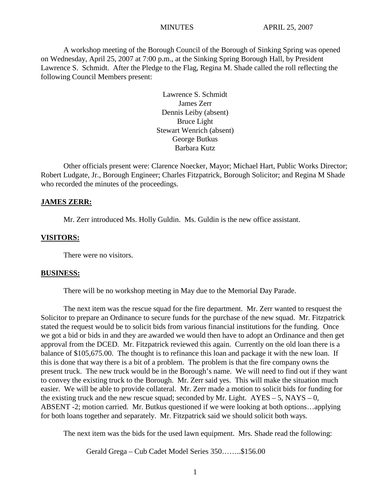A workshop meeting of the Borough Council of the Borough of Sinking Spring was opened on Wednesday, April 25, 2007 at 7:00 p.m., at the Sinking Spring Borough Hall, by President Lawrence S. Schmidt. After the Pledge to the Flag, Regina M. Shade called the roll reflecting the following Council Members present:

> Lawrence S. Schmidt James Zerr Dennis Leiby (absent) Bruce Light Stewart Wenrich (absent) George Butkus Barbara Kutz

Other officials present were: Clarence Noecker, Mayor; Michael Hart, Public Works Director; Robert Ludgate, Jr., Borough Engineer; Charles Fitzpatrick, Borough Solicitor; and Regina M Shade who recorded the minutes of the proceedings.

#### **JAMES ZERR:**

Mr. Zerr introduced Ms. Holly Guldin. Ms. Guldin is the new office assistant.

#### **VISITORS:**

There were no visitors.

#### **BUSINESS:**

There will be no workshop meeting in May due to the Memorial Day Parade.

The next item was the rescue squad for the fire department. Mr. Zerr wanted to resquest the Solicitor to prepare an Ordinance to secure funds for the purchase of the new squad. Mr. Fitzpatrick stated the request would be to solicit bids from various financial institutions for the funding. Once we got a bid or bids in and they are awarded we would then have to adopt an Ordinance and then get approval from the DCED. Mr. Fitzpatrick reviewed this again. Currently on the old loan there is a balance of \$105,675.00. The thought is to refinance this loan and package it with the new loan. If this is done that way there is a bit of a problem. The problem is that the fire company owns the present truck. The new truck would be in the Borough's name. We will need to find out if they want to convey the existing truck to the Borough. Mr. Zerr said yes. This will make the situation much easier. We will be able to provide collateral. Mr. Zerr made a motion to solicit bids for funding for the existing truck and the new rescue squad; seconded by Mr. Light.  $AYES - 5$ , NAYS – 0, ABSENT -2; motion carried. Mr. Butkus questioned if we were looking at both options…applying for both loans together and separately. Mr. Fitzpatrick said we should solicit both ways.

The next item was the bids for the used lawn equipment. Mrs. Shade read the following:

Gerald Grega – Cub Cadet Model Series 350……..\$156.00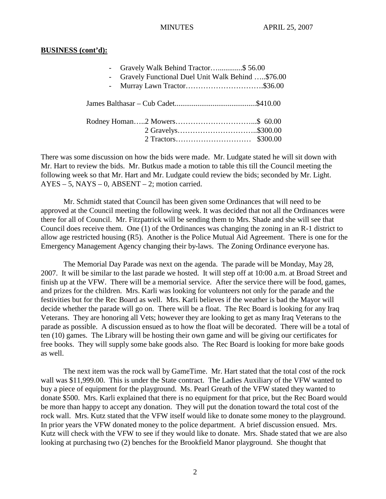#### **BUSINESS (cont'd):**

| Gravely Walk Behind Tractor\$56.00<br>$\sim 100$<br>Gravely Functional Duel Unit Walk Behind \$76.00<br>$\omega_{\rm{max}}$ |  |
|-----------------------------------------------------------------------------------------------------------------------------|--|
|                                                                                                                             |  |
|                                                                                                                             |  |

There was some discussion on how the bids were made. Mr. Ludgate stated he will sit down with Mr. Hart to review the bids. Mr. Butkus made a motion to table this till the Council meeting the following week so that Mr. Hart and Mr. Ludgate could review the bids; seconded by Mr. Light.  $AYES - 5$ ,  $NAYS - 0$ ,  $ABSENT - 2$ ; motion carried.

Mr. Schmidt stated that Council has been given some Ordinances that will need to be approved at the Council meeting the following week. It was decided that not all the Ordinances were there for all of Council. Mr. Fitzpatrick will be sending them to Mrs. Shade and she will see that Council does receive them. One (1) of the Ordinances was changing the zoning in an R-1 district to allow age restricted housing (R5). Another is the Police Mutual Aid Agreement. There is one for the Emergency Management Agency changing their by-laws. The Zoning Ordinance everyone has.

The Memorial Day Parade was next on the agenda. The parade will be Monday, May 28, 2007. It will be similar to the last parade we hosted. It will step off at 10:00 a.m. at Broad Street and finish up at the VFW. There will be a memorial service. After the service there will be food, games, and prizes for the children. Mrs. Karli was looking for volunteers not only for the parade and the festivities but for the Rec Board as well. Mrs. Karli believes if the weather is bad the Mayor will decide whether the parade will go on. There will be a float. The Rec Board is looking for any Iraq Veterans. They are honoring all Vets; however they are looking to get as many Iraq Veterans to the parade as possible. A discussion ensued as to how the float will be decorated. There will be a total of ten (10) games. The Library will be hosting their own game and will be giving our certificates for free books. They will supply some bake goods also. The Rec Board is looking for more bake goods as well.

The next item was the rock wall by GameTime. Mr. Hart stated that the total cost of the rock wall was \$11,999.00. This is under the State contract. The Ladies Auxiliary of the VFW wanted to buy a piece of equipment for the playground. Ms. Pearl Greath of the VFW stated they wanted to donate \$500. Mrs. Karli explained that there is no equipment for that price, but the Rec Board would be more than happy to accept any donation. They will put the donation toward the total cost of the rock wall. Mrs. Kutz stated that the VFW itself would like to donate some money to the playground. In prior years the VFW donated money to the police department. A brief discussion ensued. Mrs. Kutz will check with the VFW to see if they would like to donate. Mrs. Shade stated that we are also looking at purchasing two (2) benches for the Brookfield Manor playground. She thought that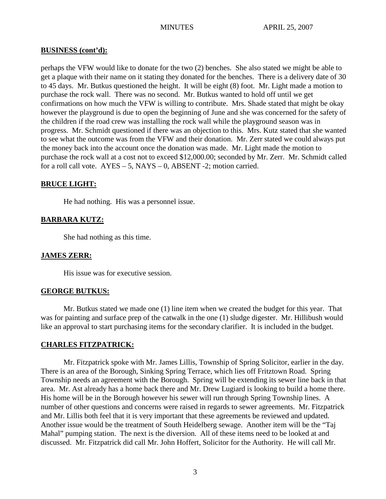### **BUSINESS (cont'd):**

perhaps the VFW would like to donate for the two (2) benches. She also stated we might be able to get a plaque with their name on it stating they donated for the benches. There is a delivery date of 30 to 45 days. Mr. Butkus questioned the height. It will be eight (8) foot. Mr. Light made a motion to purchase the rock wall. There was no second. Mr. Butkus wanted to hold off until we get confirmations on how much the VFW is willing to contribute. Mrs. Shade stated that might be okay however the playground is due to open the beginning of June and she was concerned for the safety of the children if the road crew was installing the rock wall while the playground season was in progress. Mr. Schmidt questioned if there was an objection to this. Mrs. Kutz stated that she wanted to see what the outcome was from the VFW and their donation. Mr. Zerr stated we could always put the money back into the account once the donation was made. Mr. Light made the motion to purchase the rock wall at a cost not to exceed \$12,000.00; seconded by Mr. Zerr. Mr. Schmidt called for a roll call vote.  $AYES - 5$ ,  $NAYS - 0$ ,  $ABSENT - 2$ ; motion carried.

## **BRUCE LIGHT:**

He had nothing. His was a personnel issue.

## **BARBARA KUTZ:**

She had nothing as this time.

## **JAMES ZERR:**

His issue was for executive session.

## **GEORGE BUTKUS:**

Mr. Butkus stated we made one (1) line item when we created the budget for this year. That was for painting and surface prep of the catwalk in the one (1) sludge digester. Mr. Hillibush would like an approval to start purchasing items for the secondary clarifier. It is included in the budget.

## **CHARLES FITZPATRICK:**

Mr. Fitzpatrick spoke with Mr. James Lillis, Township of Spring Solicitor, earlier in the day. There is an area of the Borough, Sinking Spring Terrace, which lies off Fritztown Road. Spring Township needs an agreement with the Borough. Spring will be extending its sewer line back in that area. Mr. Ast already has a home back there and Mr. Drew Lugiard is looking to build a home there. His home will be in the Borough however his sewer will run through Spring Township lines. A number of other questions and concerns were raised in regards to sewer agreements. Mr. Fitzpatrick and Mr. Lillis both feel that it is very important that these agreements be reviewed and updated. Another issue would be the treatment of South Heidelberg sewage. Another item will be the "Taj Mahal" pumping station. The next is the diversion. All of these items need to be looked at and discussed. Mr. Fitzpatrick did call Mr. John Hoffert, Solicitor for the Authority. He will call Mr.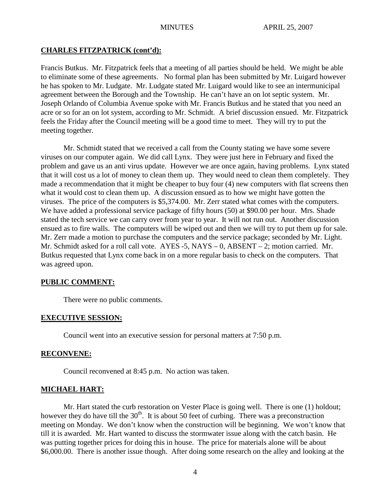## **CHARLES FITZPATRICK (cont'd):**

Francis Butkus. Mr. Fitzpatrick feels that a meeting of all parties should be held. We might be able to eliminate some of these agreements. No formal plan has been submitted by Mr. Luigard however he has spoken to Mr. Ludgate. Mr. Ludgate stated Mr. Luigard would like to see an intermunicipal agreement between the Borough and the Township. He can't have an on lot septic system. Mr. Joseph Orlando of Columbia Avenue spoke with Mr. Francis Butkus and he stated that you need an acre or so for an on lot system, according to Mr. Schmidt. A brief discussion ensued. Mr. Fitzpatrick feels the Friday after the Council meeting will be a good time to meet. They will try to put the meeting together.

Mr. Schmidt stated that we received a call from the County stating we have some severe viruses on our computer again. We did call Lynx. They were just here in February and fixed the problem and gave us an anti virus update. However we are once again, having problems. Lynx stated that it will cost us a lot of money to clean them up. They would need to clean them completely. They made a recommendation that it might be cheaper to buy four (4) new computers with flat screens then what it would cost to clean them up. A discussion ensued as to how we might have gotten the viruses. The price of the computers is \$5,374.00. Mr. Zerr stated what comes with the computers. We have added a professional service package of fifty hours (50) at \$90.00 per hour. Mrs. Shade stated the tech service we can carry over from year to year. It will not run out. Another discussion ensued as to fire walls. The computers will be wiped out and then we will try to put them up for sale. Mr. Zerr made a motion to purchase the computers and the service package; seconded by Mr. Light. Mr. Schmidt asked for a roll call vote. AYES -5, NAYS – 0, ABSENT – 2; motion carried. Mr. Butkus requested that Lynx come back in on a more regular basis to check on the computers. That was agreed upon.

## **PUBLIC COMMENT:**

There were no public comments.

## **EXECUTIVE SESSION:**

Council went into an executive session for personal matters at 7:50 p.m.

#### **RECONVENE:**

Council reconvened at 8:45 p.m. No action was taken.

## **MICHAEL HART:**

Mr. Hart stated the curb restoration on Vester Place is going well. There is one (1) holdout; however they do have till the  $30<sup>th</sup>$ . It is about 50 feet of curbing. There was a preconstruction meeting on Monday. We don't know when the construction will be beginning. We won't know that till it is awarded. Mr. Hart wanted to discuss the stormwater issue along with the catch basin. He was putting together prices for doing this in house. The price for materials alone will be about \$6,000.00. There is another issue though. After doing some research on the alley and looking at the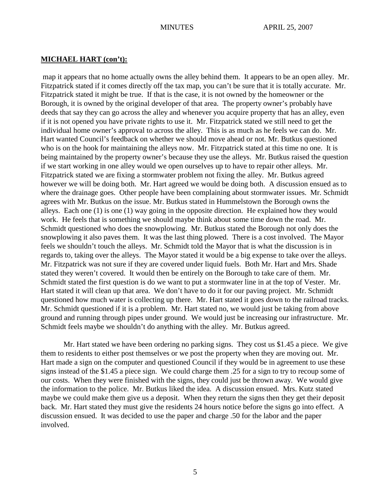### **MICHAEL HART (con't):**

map it appears that no home actually owns the alley behind them. It appears to be an open alley. Mr. Fitzpatrick stated if it comes directly off the tax map, you can't be sure that it is totally accurate. Mr. Fitzpatrick stated it might be true. If that is the case, it is not owned by the homeowner or the Borough, it is owned by the original developer of that area. The property owner's probably have deeds that say they can go across the alley and whenever you acquire property that has an alley, even if it is not opened you have private rights to use it. Mr. Fitzpatrick stated we still need to get the individual home owner's approval to across the alley. This is as much as he feels we can do. Mr. Hart wanted Council's feedback on whether we should move ahead or not. Mr. Butkus questioned who is on the hook for maintaining the alleys now. Mr. Fitzpatrick stated at this time no one. It is being maintained by the property owner's because they use the alleys. Mr. Butkus raised the question if we start working in one alley would we open ourselves up to have to repair other alleys. Mr. Fitzpatrick stated we are fixing a stormwater problem not fixing the alley. Mr. Butkus agreed however we will be doing both. Mr. Hart agreed we would be doing both. A discussion ensued as to where the drainage goes. Other people have been complaining about stormwater issues. Mr. Schmidt agrees with Mr. Butkus on the issue. Mr. Butkus stated in Hummelstown the Borough owns the alleys. Each one (1) is one (1) way going in the opposite direction. He explained how they would work. He feels that is something we should maybe think about some time down the road. Mr. Schmidt questioned who does the snowplowing. Mr. Butkus stated the Borough not only does the snowplowing it also paves them. It was the last thing plowed. There is a cost involved. The Mayor feels we shouldn't touch the alleys. Mr. Schmidt told the Mayor that is what the discussion is in regards to, taking over the alleys. The Mayor stated it would be a big expense to take over the alleys. Mr. Fitzpatrick was not sure if they are covered under liquid fuels. Both Mr. Hart and Mrs. Shade stated they weren't covered. It would then be entirely on the Borough to take care of them. Mr. Schmidt stated the first question is do we want to put a stormwater line in at the top of Vester. Mr. Hart stated it will clean up that area. We don't have to do it for our paving project. Mr. Schmidt questioned how much water is collecting up there. Mr. Hart stated it goes down to the railroad tracks. Mr. Schmidt questioned if it is a problem. Mr. Hart stated no, we would just be taking from above ground and running through pipes under ground. We would just be increasing our infrastructure. Mr. Schmidt feels maybe we shouldn't do anything with the alley. Mr. Butkus agreed.

Mr. Hart stated we have been ordering no parking signs. They cost us \$1.45 a piece. We give them to residents to either post themselves or we post the property when they are moving out. Mr. Hart made a sign on the computer and questioned Council if they would be in agreement to use these signs instead of the \$1.45 a piece sign. We could charge them .25 for a sign to try to recoup some of our costs. When they were finished with the signs, they could just be thrown away. We would give the information to the police. Mr. Butkus liked the idea. A discussion ensued. Mrs. Kutz stated maybe we could make them give us a deposit. When they return the signs then they get their deposit back. Mr. Hart stated they must give the residents 24 hours notice before the signs go into effect. A discussion ensued. It was decided to use the paper and charge .50 for the labor and the paper involved.